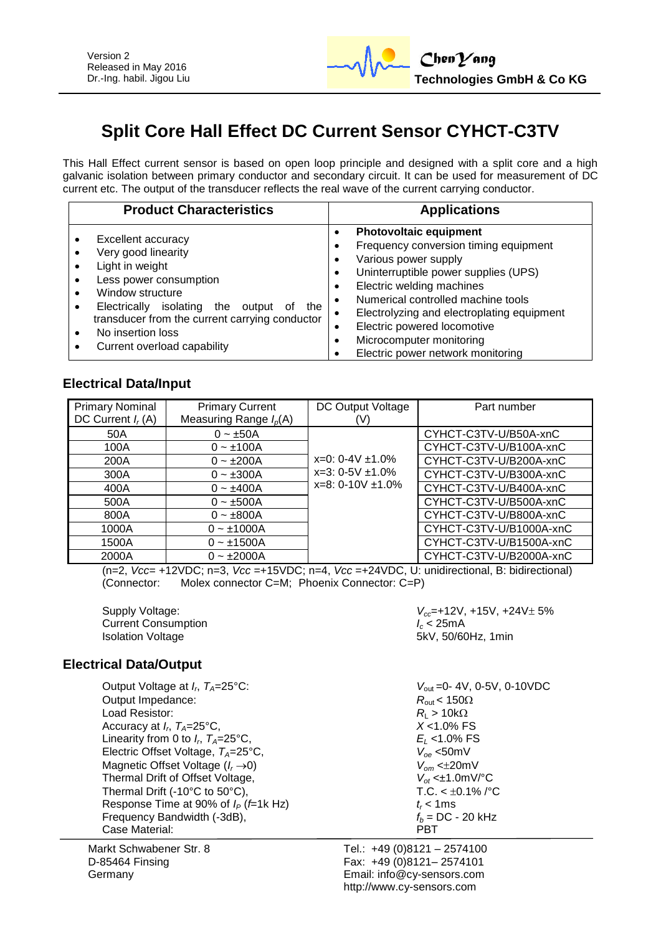

# **Split Core Hall Effect DC Current Sensor CYHCT-C3TV**

This Hall Effect current sensor is based on open loop principle and designed with a split core and a high galvanic isolation between primary conductor and secondary circuit. It can be used for measurement of DC current etc. The output of the transducer reflects the real wave of the current carrying conductor.

| <b>Product Characteristics</b>                                                                                                                                                                                                                                        | <b>Applications</b>                                                                                                                                                                                                                                                                                                                                                                                      |
|-----------------------------------------------------------------------------------------------------------------------------------------------------------------------------------------------------------------------------------------------------------------------|----------------------------------------------------------------------------------------------------------------------------------------------------------------------------------------------------------------------------------------------------------------------------------------------------------------------------------------------------------------------------------------------------------|
| Excellent accuracy<br>Very good linearity<br>Light in weight<br>Less power consumption<br>Window structure<br>isolating the output<br>the<br>Electrically<br>οf<br>transducer from the current carrying conductor<br>No insertion loss<br>Current overload capability | <b>Photovoltaic equipment</b><br>$\bullet$<br>Frequency conversion timing equipment<br>Various power supply<br>$\bullet$<br>Uninterruptible power supplies (UPS)<br>٠<br>Electric welding machines<br>٠<br>Numerical controlled machine tools<br>$\bullet$<br>Electrolyzing and electroplating equipment<br>Electric powered locomotive<br>Microcomputer monitoring<br>Electric power network monitoring |

## **Electrical Data/Input**

| <b>Primary Nominal</b> | <b>Primary Current</b>   | DC Output Voltage       | Part number             |
|------------------------|--------------------------|-------------------------|-------------------------|
| DC Current $I_r(A)$    | Measuring Range $I_p(A)$ | (V)                     |                         |
| 50A                    | $0 - \pm 50A$            |                         | CYHCT-C3TV-U/B50A-xnC   |
| 100A                   | $0 - \pm 100A$           |                         | CYHCT-C3TV-U/B100A-xnC  |
| 200A                   | $0 - \pm 200A$           | $x=0$ : 0-4V $\pm$ 1.0% | CYHCT-C3TV-U/B200A-xnC  |
| 300A                   | $0 - \pm 300A$           | $x=3: 0-5V \pm 1.0\%$   | CYHCT-C3TV-U/B300A-xnC  |
| 400A                   | $0 - \pm 400A$           | $x=8: 0-10V \pm 1.0\%$  | CYHCT-C3TV-U/B400A-xnC  |
| 500A                   | $0 - \pm 500A$           |                         | CYHCT-C3TV-U/B500A-xnC  |
| 800A                   | $0 - \pm 800A$           |                         | CYHCT-C3TV-U/B800A-xnC  |
| 1000A                  | $0 - 1000A$              |                         | CYHCT-C3TV-U/B1000A-xnC |
| 1500A                  | $0 - \pm 1500A$          |                         | CYHCT-C3TV-U/B1500A-xnC |
| 2000A                  | $0 - \pm 2000A$          |                         | CYHCT-C3TV-U/B2000A-xnC |

(n=2, *Vcc*= +12VDC; n=3, *Vcc* =+15VDC; n=4, *Vcc* =+24VDC, U: unidirectional, B: bidirectional) (Connector: Molex connector C=M; Phoenix Connector: C=P)

**Current Consumption Isolation Voltage** 

Supply Voltage:  $V_{cc}$ =+12V, +15V, +24V $\pm$  5%<br>Current Consumption  $I_c$  < 25mA 5kV, 50/60Hz, 1min

## **Electrical Data/Output**

Output Voltage at  $I_r$ ,  $T_A = 25^{\circ}$ C: Output Impedance:  $R_{\text{out}} < 150\Omega$ Load Resistor:  $R_L > 10k\Omega$ <br>Accuracy at  $I_n$   $T_a = 25^{\circ}\text{C}$ .  $X < 1.0\%$  FS Accuracy at *I<sup>r</sup>* , *TA*=25°C, *X* <1.0% FS Linearity from 0 to  $I_r$ ,  $T_A = 25^\circ \text{C}$ , Electric Offset Voltage, *T<sub>A</sub>*=25°C,  $V_{oe}$  <50mV<br>Magnetic Offset Voltage ( $I_r \rightarrow 0$ )  $V_{om}$  <±20mV Magnetic Offset Voltage ( $I_r \rightarrow 0$ )  $V_{om} < \pm 20 \text{mV}$ <br>Thermal Drift of Offset Voltage,  $V_{of} < \pm 1.0 \text{mV}$ <sup>o</sup>C **Thermal Drift of Offset Voltage,** Thermal Drift (-10°C to 50°C),  $TC. < \pm 0.1\%$  /°C Response Time at 90% of  $I_P$  (*f*=1k Hz)  $t_r < 1$ ms<br>Frequency Bandwidth (-3dB),  $f_b = DC - 20$  kHz Frequency Bandwidth (-3dB),  $f_b = D$ <br>Case Material: **PBT** Case Material:

Markt Schwabener Str. 8 D-85464 Finsing Germany

 $V_{\text{out}}$  =0- 4V, 0-5V, 0-10VDC *E*<sub>*L*</sub> <1.0% FS<br>*V*<sub>oe</sub> <50mV

Tel.: +49 (0)8121 – 2574100 Fax: +49 (0)8121– 2574101 Email: info@cy-sensors.com http://www.cy-sensors.com